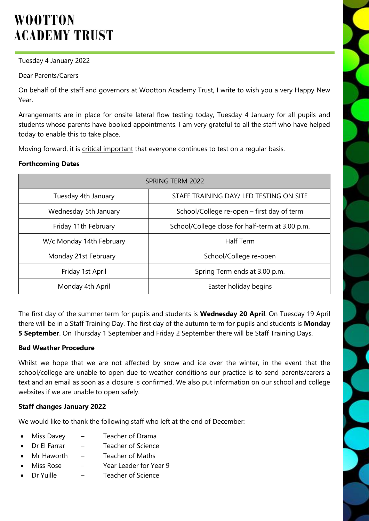# **WOOTTON ACADEMY TRUST**

Tuesday 4 January 2022

Dear Parents/Carers

On behalf of the staff and governors at Wootton Academy Trust, I write to wish you a very Happy New Year.

Arrangements are in place for onsite lateral flow testing today, Tuesday 4 January for all pupils and students whose parents have booked appointments. I am very grateful to all the staff who have helped today to enable this to take place.

Moving forward, it is critical important that everyone continues to test on a regular basis.

#### **Forthcoming Dates**

| SPRING TERM 2022         |                                                 |
|--------------------------|-------------------------------------------------|
| Tuesday 4th January      | STAFF TRAINING DAY/ LFD TESTING ON SITE         |
| Wednesday 5th January    | School/College re-open – first day of term      |
| Friday 11th February     | School/College close for half-term at 3.00 p.m. |
| W/c Monday 14th February | <b>Half Term</b>                                |
| Monday 21st February     | School/College re-open                          |
| Friday 1st April         | Spring Term ends at 3.00 p.m.                   |
| Monday 4th April         | Easter holiday begins                           |

The first day of the summer term for pupils and students is **Wednesday 20 April**. On Tuesday 19 April there will be in a Staff Training Day. The first day of the autumn term for pupils and students is **Monday 5 September**. On Thursday 1 September and Friday 2 September there will be Staff Training Days.

#### **Bad Weather Procedure**

Whilst we hope that we are not affected by snow and ice over the winter, in the event that the school/college are unable to open due to weather conditions our practice is to send parents/carers a text and an email as soon as a closure is confirmed. We also put information on our school and college websites if we are unable to open safely.

#### **Staff changes January 2022**

We would like to thank the following staff who left at the end of December:

- Miss Davey Teacher of Drama
- Dr El Farrar Teacher of Science
- Mr Haworth Teacher of Maths
- Miss Rose Year Leader for Year 9
- Dr Yuille Teacher of Science